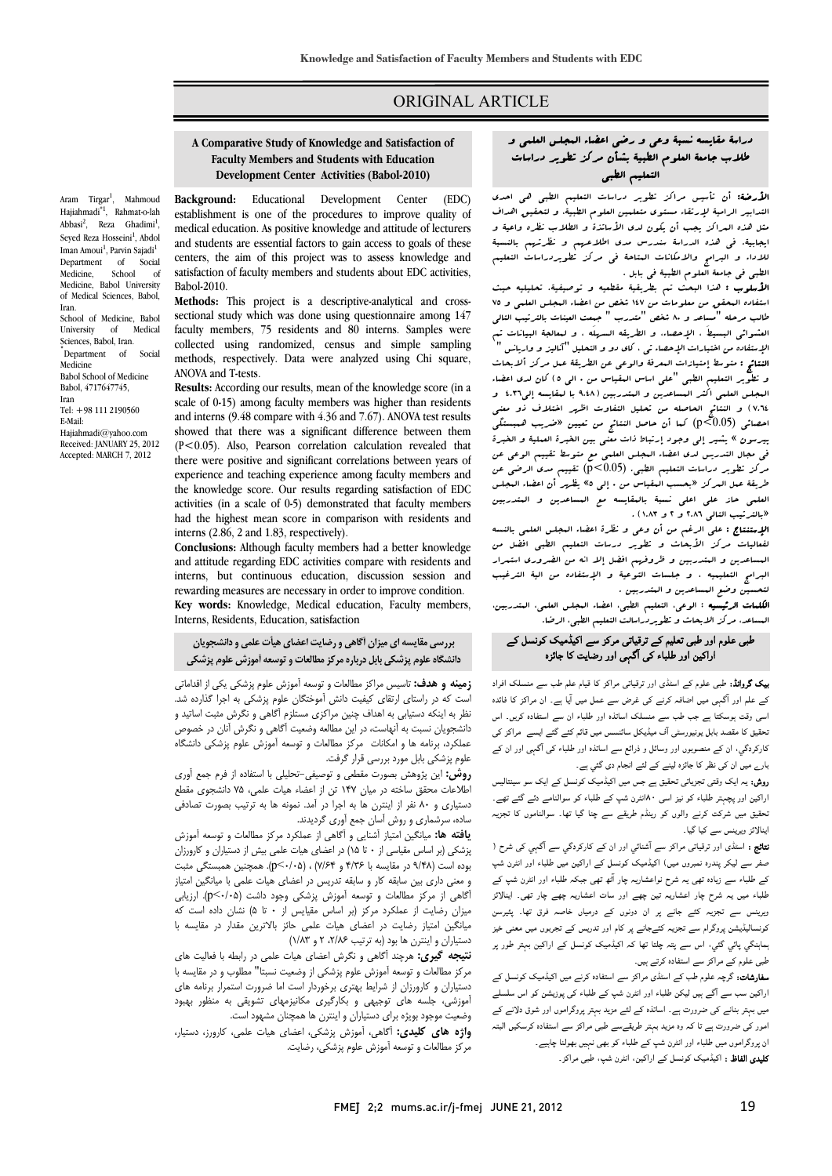### ORIGINAL ARTICLE

#### **A Comparative Study of Knowledge and Satisfaction of Development Center Activities (Babol-2010)Faculty Members and Students with Education**

Ī  $\overline{a}$ 

Aram Tirgar<sup>1</sup>, Mahmoud Hajiahmadi\*1, Rahmat-o-lah Abbasi<sup>2</sup>, Reza Ghadimi<sup>1</sup>, Seyed Reza Hosseini<sup>1</sup>, Abdol Iman Amoui<sup>1</sup>, Parvin Sajadi<sup>1</sup> Department of Social Medicine, School of Medicine, Babol University of Medical Sciences, Babol, Iran. School of Medicine, Babol University of Medical Sciences, Babol, Iran. ٭ Department of Social Medicine Babol School of Medicine Babol, 4717647745, Iran Tel: +98 111 2190560 E-Mail: Hajiahmadi@yahoo.com Received: JANUARY 25, 2012 Accepted: MARCH 7, 2012

 **Background:** Educational Development Center (EDC) establishment is one of the procedures to improve quality of medical education. As positive knowledge and attitude of lecturers and students are essential factors to gain access to goals of these<br>centers, the aim of this project was to assess knowledge and satisfaction of faculty members and students about EDC activities, and students are essential factors to gain access to goals of these Babol-2010.

 **Methods:** This project is a descriptive-analytical and crosssectional study which was done using questionnaire among 147 faculty members, 75 residents and 80 interns. Samples were methods, respectively. Data were analyzed using Chi square, collected using randomized, census and simple sampling ANOVA and T-tests.

 **Results:** According our results, mean of the knowledge score (in a and interns (9.48 compare with 4.36 and 7.67). ANOVA test results showed that there was a significant difference between them  $(t \sim 0.02)$ . Also, Tearson correlation calculation revealed that there were positive and significant correlations between years of experience and teaching experience among faculty members and the knowledge score. Our results regarding satisfaction of EDC had the highest mean score in comparison with residents and scale of 0-15) among faculty members was higher than residents (P<0.05). Also, Pearson correlation calculation revealed that activities (in a scale of 0-5) demonstrated that faculty members interns (2.86, 2 and 1.83, respectively).

 **Conclusions:** Although faculty members had a better knowledge and attitude regarding EDC activities compare with residents and interns, but continuous education, discussion session and rewarding measures are necessary in order to improve condition. **Key words:** Knowledge, Medical education, Faculty members, Interns, Residents, Education, satisfaction

 **بررسي مقايسه اي ميزان آگاهي ورضايت اعضاي هيأت علمي ودانشجويان دانشگاه علوم پزشكي بابل دربارهمركز مطالعات وتوسعه آموزشعلوم پزشكي**

 **زمينه و هدف:** تاسيس مراكز مطالعات و توسعه آموزش علوم پزشكي يكي از اقداماتي است كه در راستاي ارتقاي كيفيت دانش آموختگان علوم پزشكي به اجرا گذارده شد. نظر به اينكه دستيابي به اهداف چنين مراكزي مستلزم آگاهي و نگرش مثبت اساتيد و<br>. عملكرد، برنامه ها و امكانات مركز مطالعات و تعيف آعمى و تحرين آمن در حصوص<br>عملكرد، برنامه ها و امكانات ً مركز مطالعات و توسعه آموزش علوم پزشكي دانشگاه علوم پزشكي بابل مورد بررسي قرار گرفت. دانشجويان نسبت به آنهاست، در اين مطالعه وضعيت آگاهي و نگرش آنان در خصوص

 **روش:** اين پژوهش بصورت مقطعي و توصيفي-تحليلي با استفاده از فرم جمع آوري دستياري و 80 نفر از اينترن ها به اجرا در آمد. نمونه ها به ترتيب بصورت تصادفي ساده، سرشماري و روش آسان جمع آوري گرديدند. اطلاعات محقق ساخته در ميان 147 تن از اعضاء هيات علمي، 75 دانشجوي مقطع

 **يافته ها:** ميانگين امتياز آشنايي و آگاهي از عملكرد مركز مطالعات و توسعه آموزش بوده است (9/48 در مقايسه با 4/36 و 7/64) ، (0/05>p(. همچنين همبستگي مثبت و معني داري بين سابقه كار و سابقه تدريس در اعضاي هيات علمي با ميانگين امتياز آگاهي از مركز مطالعات و توسعه آموزش پزشكي وجود داشت (0/05>p(. ارزيابي ميانگين امتياز رضايت در اعضاي هيات علمي حائز بالاترين مقدار در مقايسه با دستياران و اينترن ها بود (به ترتيب ۲،۲/۸۶ و ۱/۸۳) پزشكي (بر اساس مقياسي از • تا ١۵) در اعضاي هيات علمي بيش از دستياران و كارورزان ميزان رضايت از عملكرد مركز (بر اساس مقيايس از 0 تا 5) نشان داده است كه

 **نتيجه گيري:** هرچند آگاهي و نگرش اعضاي هيات علمي در رابطه با فعاليت هاي دستياران و كارورزان از شرايط بهتري برخوردار است اما ضرورت استمرار برنامه هاي آموزشي، جلسه هاي توجيهي و بكارگيري مكانيزمهاي تشويقي به منظور بهبود وضعيت موجود بويژه براي دستياران و اينترن ها همچنان مشهود است.<br>باشد هاي مركز موجود آگان مرتقب بويد كردار زيال مراجع بايد مركز مطالعات و توسعه آموزش علوم پزشكي از وضعيت نسبتا" مطلوب و در مقايسه با

 مركز مطالعات و توسعه آموزش علوم پزشكي، رضايت. **واژه هاي كليدي:** آگاهي، آموزش پزشكي، اعضاي هيات علمي، كارورز، دستيار،

#### دراسة مقايسه نسبة وعي و رضي اعضاء المجلس العلمي و J طلاب جامعة العلوم الطبية بشأن مركز تطوير دراسات التعليم الطبي

Ī  $\overline{a}$ 

 الأرضة: أن تأسيس مراكز تطوير دراسات التعليم الطبي هي احدي التدابير الرامية لإرتقاء مستوي متعلمين العلوم الطبية، و لتحقيق اهداف مثل هذه المراكز يجب أن يكون لدي الأساتذة و الطلاب نظره واعية و يبببيه. مي سد الدراسة استردان مدت المترسيهم و معرفيهم بالتسبب<br>للاداء و البرامج والامكانات البتاحة في مركز تطويردراسات التعليم الطبي في جامعة العلوم الطبية في بابل . ايجابية. في هذه الدراسة سندرس مدي اطلاعهم و نظرتهم بالنسبة

ا**لأسلوب :** هذا البحث تم بطريقية مقطعيه و توصيفية. تحليليه حيث استفاده البحقق من معلومات من ١٤٧ شخص من اعضاء البجلس العلمي و ٧٥<br>طالب مرحله "مساعد و ٨٠ شخص "متدرس " جيعت العشات بالترتيب التال العشوائي البسيطَ ، الإحصاء، و الطريقه السهلَه ، و لمعالجة البيانات تم الإستفاده من اختبارات الإحصاء تي ، كاي دو و التحليل "آناليز و واريانس " و تطوير التعليم الطبي "علي استريت و توقي من الفريد من الراحل العبدالة<br>و تطوير التعليم الطبي "علي اساس البقياس من • الي 6) كان لدى اعضاء المجلس العلمي اكثر المساعدين و المتدربين (9.48 با لمقايسه إلي4.36 و 7.64) و النتائج الحاصله من تحليل التفاوت اظهر اختلاف ذو معني پيرسون » يشير إلي وجود إرتباط ذات معني بين الخبرة العملية و الخبرة في مجال التدريس لدي اعضاء المجلس العلمي مع متوسط تقييم الوعي عن -<br>.. .<br>. I «بالترتيب التالي 2.86 و 2 و 1.83) . طالب مرحله "مساعد و 80 شخص "متدرب " جمعت العينات بالترتيب التالي النتائج : متوسط إمتيازات المعرفة والوعي عن الطريقة عمل مركز ألابحاث احصائي (0.05>p (كما أن حاصل النتائج من تعيين «ضريب همبستگي مركز تطوير دراسات التعليم الطبي. (0.05>p (تقييم مدي الرضي عن طريقة عمل المركز «بحسب المقياس من 0 إلي 5» يظهر أن اعضاء المجلس العلمي حاز علي اعلي نسبة بالمقايسه مع المساعدين و المتدربين

ا**لإمتنشاع :** على الرغم من أن وعى و تطر<sup>ه</sup> أعصاء البجلس العلبى بالنسه<br>نفعاليات مركز الأبحاث و تطوير درمات التعليم الطبي افضل من المساعدين و المتدربين و ظروفهم افضل إلا انه من الضروري استمرار البرامج التعليميه ، و جلسات التوعية و الإستفاده من الية الترغيب لتحسين وضع المساعدين و المتدربين .<br>كاروز المرور و ديال در سالتار سالتار الإستنتاج : علي الرغم من أن وعي و نظرة اعضاء المجلس العلمي بالنسه

 المساعد، مركز الابحاث و تطويردراسالت التعليم الطبي، الرضا. الكلمات الرئيسيه : الوعي، التعليم الطبي، اعضاء المجلس العلمي، المتدربين،

# طبی علوم اور طبی تعلیم کے ترقیاتی مرکز سے اکیڈمیک کونسل کے اراکین اور طلباء کی آگہی اور رضایت کا جائزہ

 بیک گروانڈ: طبی علوم کے اسٹڈی اور ترقیاتی مراکز کا قیام علم طب سے منسلک افراد کے علم اور آگہی میں اضافہ کرنے کی غرض سے عمل میں آیا ہے۔ ان مراکز کا فائدہ اسی وقت ہوسکتا ہے جب طب سے منسلک اساتذہ اور طلباء ان سے استفادہ کریں۔ اس تحقیق کا مقصد بابل یونیورسٹی آف میڈیکل سائنسس میں قائم کئے گئے ایسے مراکز کی بارے میں ان کی نظر کا جائزہ لینے کے لئے انجام دی گئي ہے۔ کارکردگي، ان کے منصوبوں اور وسائل و ذرائع سے اساتذہ اور طلباء کی آگہی اور ان کے

 روش: یہ ایک وقتی تجزیاتی تحقیق ہے جس میں اکیڈمیک کونسل کے ایک سو سینتالیس اراکین اور پچہتر طلباء کو نیز اسی ۸۰انٹرن شپ کے طلباء کو سوالنامے دئے گئے تھے۔ تحقیق میں شرکت کرنے والوں کو رینڈم طریقے سے چنا گيا تھا۔ سوالناموں کا تجزیہ اینالائز ویرینس سے کیا گيا۔

يبدو تر ريزيس سے يہ يہ .<br>**نتائج :** اسٹڈی اور ترقیاتی مراکز سے آشنائي اور ان کے کارکردگي سے آگہي کی شرح ( صفر سے لیکر پندرہ نمبروں میں) اکیڈمیک کونسل کے اراکین میں طلباء اور انٹرن شپ کے طلباء سے زیادہ تھی یہ شرح نواعشاریہ چار آٹھ تھی جبکہ طلباء اور انٹرن شپ کے طلباء میں یہ شرح چار اعشاریہ تین چھے اور سات اعشاریہ چھے چار تھی۔ اینالائز ریویس سے مبریہ سے جسے پر ان موتوں سے مرتبہاں حسہ عربی ہے۔ پیپرسن<br>کونسالیڈیشن پروگرام سے تجزیہ کئےجانے پر کام اور تدریس کے تجربوں میں معنی خیز ہماہنگي پائي گئي، اس سے پتہ چلتا تھا کہ اکیڈمیک کونسل کے اراکین بہتر طور پر طبی علوم کے مراکز سے استفادہ کرتے ہیں۔ ویرینس سے تجزیہ کئے جانے پر ان دونوں کے درمیاں خاصہ فرق تھا۔ پئیرسن

**سفارشات:** گرچہ علوم طب کے اسٹڈی مراکز سے استفادہ کرنے میں اکیڈمیک کونسل کے<br>۔۔۔۔۔۔۔۔۔۔۔۔ رسمیں سب سے سے بھی سب سب ہور سوں سپ سے سب سی پوریس ہو ہیں سسسے<br>میں بہتر بنانے کی ضرورت ہے۔ اساتذہ کے لئے مزید بہتر پروگراموں اور شوق دلانے کے امور کی ضرورت ہے تا کہ وہ مزید بہتر طریقےسے طبی مراکز سے استفادہ کرسکیں البتہ ان پروگراموں میں طلباء اور انٹرن شپ کے طلباء کو بھی نہیں بھولنا چاہیے۔ **کلیدی الفاظ :** اکیڈمیک کونسل کے اراکین، انٹرن شپ، طبی مراکز۔<br>۔ اراکین سب سے آگے ہیں لیکن طلباء اور انٹرن شپ کے طلباء کی پوزیشن کو اس سلسلے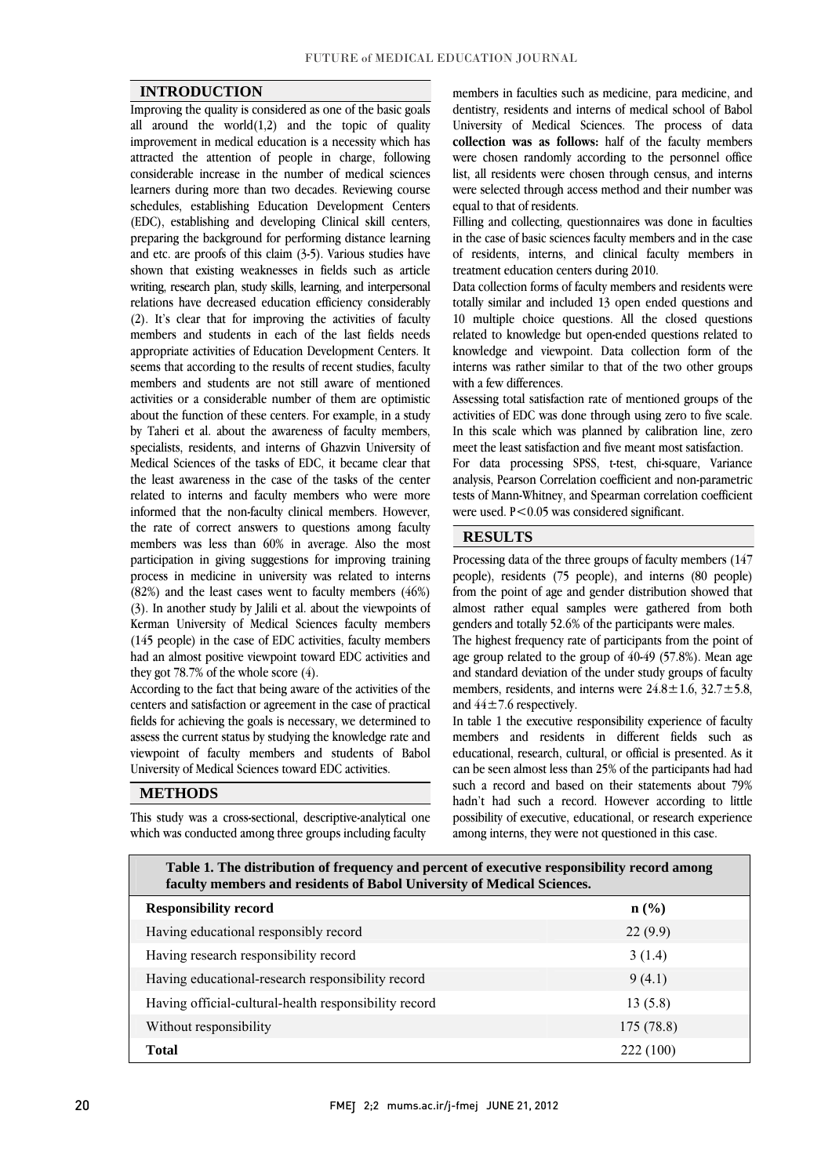#### **INTRODUCTION**

 Improving the quality is considered as one of the basic goals all around the world $(1,2)$  and the topic of quality Improvement in method education is a necessity which has<br>attracted the attention of people in charge, following considerable increase in the number of medical sciences learners during more than two decades. Reviewing course schedules, establishing Education Development Centers preparing the background for performing distance learning and etc. are proofs of this claim (3-5). Various studies have shown that existing weaknesses in fields such as article writing, research plan, study skills, learning, and interpersonal (2). It's clear that for improving the activities of faculty members and students in each of the last fields needs appropriate activities of Education Development Centers. It seems that according to the results of recent studies, faculty activities or a considerable number of them are optimistic about the function of these centers. For example, in a study by Taheri et al. about the awareness of faculty members, specialists, residents, and interns of Gnazvin University of<br>Medical Sciences of the tasks of EDC, it became clear that the least awareness in the case of the tasks of the center related to interns and faculty members who were more informed that the non-faculty clinical members. However, members was less than 60% in average. Also the most participation in giving suggestions for improving training process in medicine in university was related to interns (82%) and the least cases went to faculty members (46%) Kerman University of Medical Sciences faculty members (145 people) in the case of EDC activities, faculty members had an almost positive viewpoint toward EDC activities and improvement in medical education is a necessity which has (EDC), establishing and developing Clinical skill centers, relations have decreased education efficiency considerably members and students are not still aware of mentioned specialists, residents, and interns of Ghazvin University of the rate of correct answers to questions among faculty (3). In another study by Jalili et al. about the viewpoints of they got 78.7% of the whole score  $(4)$ .

they got 78.7% of the whole score (4).<br>According to the fact that being aware of the activities of the centers and satisfaction or agreement in the case of practical fields for achieving the goals is necessary, we determined to assess the current status by studying the knowledge rate and viewpoint of faculty members and students of Babol  $\overline{a}$ University of Medical Sciences toward EDC activities.

### **METHODS**

 This study was a cross-sectional, descriptive-analytical one which was conducted among three groups including faculty

 dentistry, residents and interns of medical school of Babol University of Medical Sciences. The process of data were chosen randomly according to the personnel office list, all residents were chosen through census, and interns were selected through access method and their number was members in faculties such as medicine, para medicine, and **collection was as follows:** half of the faculty members equal to that of residents.

equai to tnat of residents.<br>Filling and collecting, questionnaires was done in faculties in the case of basic sciences faculty members and in the case of residents, interns, and clinical faculty members in treatment education centers during 2010.

Data conection forms of faculty members and residents were<br>totally similar and included 13 open ended questions and 10 multiple choice questions. All the closed questions related to knowledge but open-ended questions related to knowledge and viewpoint. Data collection form of the interns was rather similar to that of the two other groups Data collection forms of faculty members and residents were with a few differences.

Assessing total satisfaction rate of mentioned groups of the activities of EDC was done through using zero to five scale. In this scale which was planned by calibration line, zero meet the least satisfaction and five meant most satisfaction.

 For data processing SPSS, t-test, chi-square, Variance analysis, Pearson Correlation coefficient and non-parametric tests of Mann-Whitney, and Spearman correlation coefficient were used. P<0.05 was considered significant.

#### **RESULTS**

 Processing data of the three groups of faculty members (147 people), residents (75 people), and interns (80 people) from the point of age and gender distribution showed that almost rather equal samples were gathered from both<br>genders and totally 52.6% of the participants were males genders and totally 52.6% of the participants were males.

The highest frequency rate of participants from the point of age group related to the group of 40-49 (57.8%). Mean age and standard deviation of the under study groups of faculty members, residents, and interns were  $24.8 \pm 1.6$ ,  $32.7 \pm 5.8$ , and  $44 + 7.6$  respectively and  $44\pm7.6$  respectively.

 In table 1 the executive responsibility experience of faculty members and residents in different fields such as educational, research, cultural, or official is presented. As it such a record and based on their statements about 79% hadn't had such a record. However according to little possibility of executive, educational, or research experience can be seen almost less than 25% of the participants had had among interns, they were not questioned in this case.

| Table 1. The distribution of frequency and percent of executive responsibility record among<br>faculty members and residents of Babol University of Medical Sciences. |                  |  |  |  |
|-----------------------------------------------------------------------------------------------------------------------------------------------------------------------|------------------|--|--|--|
| <b>Responsibility record</b>                                                                                                                                          | $\mathbf{n}(\%)$ |  |  |  |
| Having educational responsibly record                                                                                                                                 | 22(9.9)          |  |  |  |
| Having research responsibility record                                                                                                                                 | 3(1.4)           |  |  |  |
| Having educational-research responsibility record                                                                                                                     | 9(4.1)           |  |  |  |
| Having official-cultural-health responsibility record                                                                                                                 | 13(5.8)          |  |  |  |
| Without responsibility                                                                                                                                                | 175 (78.8)       |  |  |  |
| <b>Total</b>                                                                                                                                                          | 222 (100)        |  |  |  |
|                                                                                                                                                                       |                  |  |  |  |

 $\overline{a}$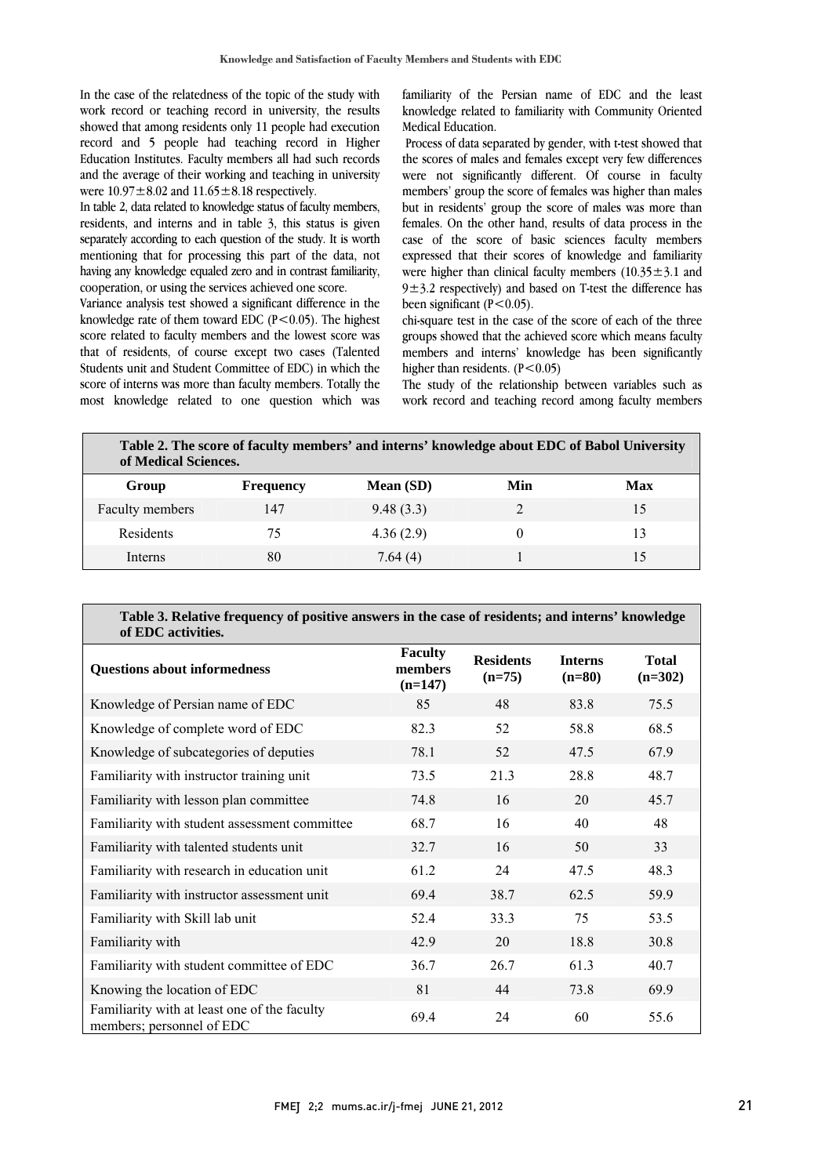In the case of the relatedness of the topic of the study with work record or teaching record in university, the results showed that among residents only 11 people had execution record and 5 people had teaching record in Higher and the average of their working and teaching in university Education Institutes. Faculty members all had such records were  $10.97 \pm 8.02$  and  $11.65 \pm 8.18$  respectively.

 In table 2, data related to knowledge status of faculty members, separately according to each question of the study. It is worth mentioning that for processing this part of the data, not having any knowledge equaled zero and in contrast familiarity, residents, and interns and in table 3, this status is given cooperation, or using the services achieved one score.

variance analysis test showed a significant differential the knowledge rate of them toward EDC  $(P<0.05)$ . The highest score related to faculty members and the lowest score was that of residents, of course except two cases (Talented Students unit and Student Committee of EDC) in which the most knowledge related to one question which was Variance analysis test showed a significant difference in the score of interns was more than faculty members. Totally the

 familiarity of the Persian name of EDC and the least knowledge related to familiarity with Community Oriented Medical Education.

Process of data separated by gender, with t-test showed that were not significantly different. Of course in faculty but in residents' group the score of males was more than case of the score of basic sciences faculty members expressed that their scores of knowledge and familiarity were higher than clinical faculty members  $(10.35 \pm 3.1$  and  $9\pm3.2$  respectively) and based on T-test the difference has the scores of males and females except very few differences members' group the score of females was higher than males females. On the other hand, results of data process in the been significant  $(P<0.05)$ .

chi-square test in the case of the score of each of the three groups showed that the achieved score which means faculty members and interns' knowledge has been significantly higher than residents.  $(P<0.05)$ 

nigner than residents. (P<0.05)<br>The study of the relationship between variables such as work record and teaching record among faculty members

| Table 2. The score of faculty members' and interns' knowledge about EDC of Babol University<br>of Medical Sciences. |                  |           |     |     |  |
|---------------------------------------------------------------------------------------------------------------------|------------------|-----------|-----|-----|--|
| Group                                                                                                               | <b>Frequency</b> | Mean (SD) | Min | Max |  |
| Faculty members                                                                                                     | 147              | 9.48(3.3) |     | 15  |  |
| Residents                                                                                                           | 75               | 4.36(2.9) |     | 13  |  |
| Interns                                                                                                             | 80               | 7.64(4)   |     | 15  |  |
|                                                                                                                     |                  |           |     |     |  |

 $\overline{a}$ 

#### **Table 3. Relative frequency of positive answers in the case of residents; and interns' knowledge of EDC activities.**

| of EDC activities.                                                        |                                        |                              |                            |                           |  |  |  |
|---------------------------------------------------------------------------|----------------------------------------|------------------------------|----------------------------|---------------------------|--|--|--|
| <b>Questions about informedness</b>                                       | <b>Faculty</b><br>members<br>$(n=147)$ | <b>Residents</b><br>$(n=75)$ | <b>Interns</b><br>$(n=80)$ | <b>Total</b><br>$(n=302)$ |  |  |  |
| Knowledge of Persian name of EDC                                          | 85                                     | 48                           | 83.8                       | 75.5                      |  |  |  |
| Knowledge of complete word of EDC                                         | 82.3                                   | 52                           | 58.8                       | 68.5                      |  |  |  |
| Knowledge of subcategories of deputies                                    | 78.1                                   | 52                           | 47.5                       | 67.9                      |  |  |  |
| Familiarity with instructor training unit                                 | 73.5                                   | 21.3                         | 28.8                       | 48.7                      |  |  |  |
| Familiarity with lesson plan committee                                    | 74.8                                   | 16                           | 20                         | 45.7                      |  |  |  |
| Familiarity with student assessment committee                             | 68.7                                   | 16                           | 40                         | 48                        |  |  |  |
| Familiarity with talented students unit                                   | 32.7                                   | 16                           | 50                         | 33                        |  |  |  |
| Familiarity with research in education unit                               | 61.2                                   | 24                           | 47.5                       | 48.3                      |  |  |  |
| Familiarity with instructor assessment unit                               | 69.4                                   | 38.7                         | 62.5                       | 59.9                      |  |  |  |
| Familiarity with Skill lab unit                                           | 52.4                                   | 33.3                         | 75                         | 53.5                      |  |  |  |
| Familiarity with                                                          | 42.9                                   | 20                           | 18.8                       | 30.8                      |  |  |  |
| Familiarity with student committee of EDC                                 | 36.7                                   | 26.7                         | 61.3                       | 40.7                      |  |  |  |
| Knowing the location of EDC                                               | 81                                     | 44                           | 73.8                       | 69.9                      |  |  |  |
| Familiarity with at least one of the faculty<br>members; personnel of EDC | 69.4                                   | 24                           | 60                         | 55.6                      |  |  |  |

 $\overline{a}$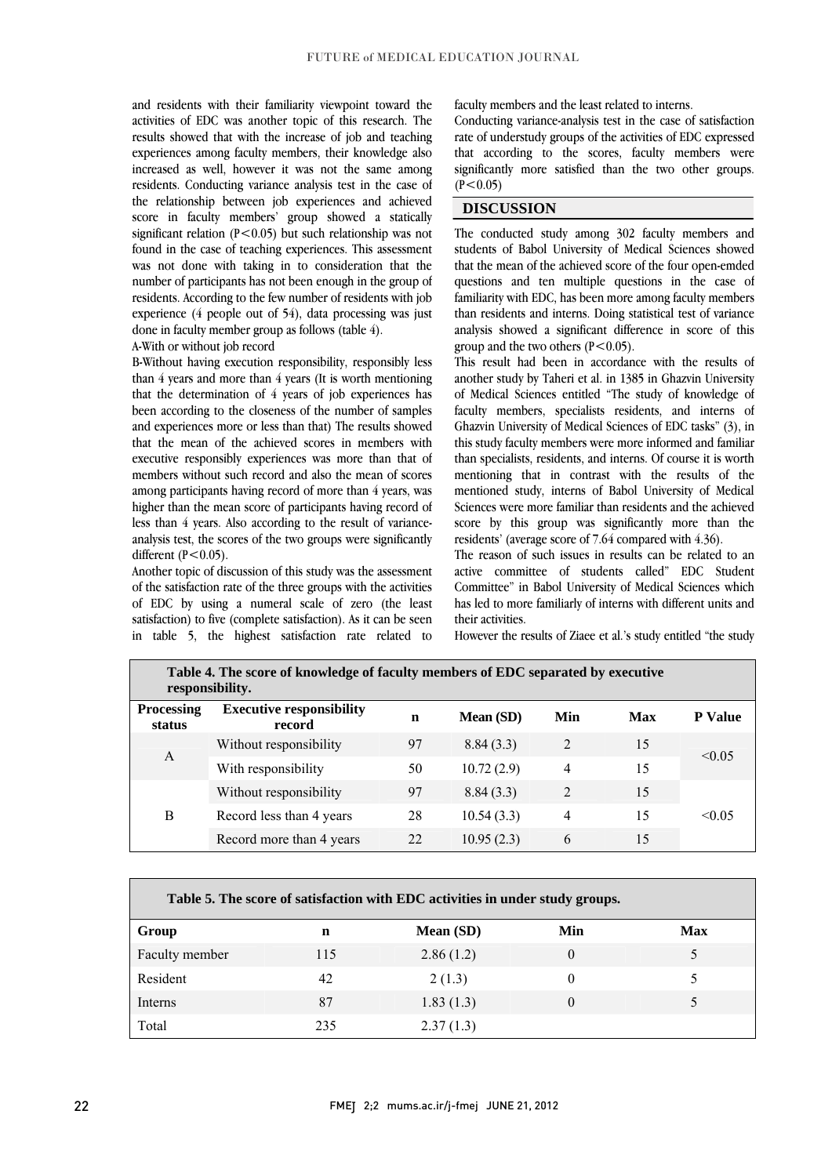and residents with their familiarity viewpoint toward the results showed that with the increase of job and teaching experiences among faculty members, their knowledge also increased as well, however it was not the same among residents. Conducting variance analysis test in the case of score in faculty members' group showed a statically significant relation (P<0.05) but such relationship was not found in the case of teaching experiences. This assessment was not done with taking in to consideration that the residents. According to the few number of residents with job experience (4 people out of 54), data processing was just activities of EDC was another topic of this research. The the relationship between job experiences and achieved number of participants has not been enough in the group of done in faculty member group as follows (table 4).

#### A-With or without job record

a-with or without job record<br>B-Without having execution responsibility, responsibly less than 4 years and more than 4 years (It is worth mentioning that the determination of 4 years of job experiences has been according to the closeness of the number of samples and experiences more of tess man may the results showed<br>that the mean of the achieved scores in members with executive responsibly experiences was more than that of members without such record and also the mean of scores among participants having record of more than 4 years, was inglier than the mean score of participants having record of<br>less than 4 years. Also according to the result of variance- analysis test, the scores of the two groups were significantly and experiences more or less than that) The results showed higher than the mean score of participants having record of different  $(P<0.05)$ .

 Another topic of discussion of this study was the assessment of EDC by using a numeral scale of zero (the least satisfaction) to five (complete satisfaction). As it can be seen in table 5, the highest satisfaction rate related toof the satisfaction rate of the three groups with the activities

faculty members and the least related to interns.

 rate of understudy groups of the activities of EDC expressed that according to the scores, faculty members were significantly more satisfied than the two other groups.  $\overline{a}$ Conducting variance-analysis test in the case of satisfaction  $(P < 0.05)$ 

## **DISCUSSION**

 The conducted study among 302 faculty members and students of Babol University of Medical Sciences showed that the mean of the achieved score of the four open-emded familiarity with EDC, has been more among faculty members than residents and interns. Doing statistical test of variance analysis showed a significant difference in score of this questions and ten multiple questions in the case of group and the two others  $(P<0.05)$ .

group and the two others (r < 0.05).<br>This result had been in accordance with the results of another study by Taheri et al. in 1385 in Ghazvin University of Medical Sciences entitled "The study of knowledge of faculty members, specialists residents, and interns of this study faculty members were more informed and familiar than specialists, residents, and interns. Of course it is worth mentioning that in contrast with the results of the mentioned study, interns of Babol University of Medical บ<br>เ Ghazvin University of Medical Sciences of EDC tasks" (3), in Sciences were more familiar than residents and the achieved score by this group was significantly more than the residents' (average score of 7.64 compared with 4.36).

 The reason of such issues in results can be related to an active committee of students called" EDC Student has led to more familiarly of interns with different units and Committee" in Babol University of Medical Sciences which their activities.

However the results of Ziaee et al.'s study entitled "the study

| Table 4. The score of knowledge of faculty members of EDC separated by executive<br>responsibility. |                                           |    |            |                |     |                |
|-----------------------------------------------------------------------------------------------------|-------------------------------------------|----|------------|----------------|-----|----------------|
| <b>Processing</b><br>status                                                                         | <b>Executive responsibility</b><br>record | n  | Mean (SD)  | Min            | Max | <b>P</b> Value |
|                                                                                                     | Without responsibility                    | 97 | 8.84(3.3)  | 2              | 15  | < 0.05         |
| A                                                                                                   | With responsibility                       | 50 | 10.72(2.9) | $\overline{4}$ | 15  |                |
|                                                                                                     | Without responsibility                    | 97 | 8.84(3.3)  | $\overline{2}$ | 15  |                |
| B                                                                                                   | Record less than 4 years                  | 28 | 10.54(3.3) | 4              | 15  | < 0.05         |
|                                                                                                     | Record more than 4 years                  | 22 | 10.95(2.3) | 6              | 15  |                |

| Table 5. The score of satisfaction with EDC activities in under study groups. |             |           |          |            |  |
|-------------------------------------------------------------------------------|-------------|-----------|----------|------------|--|
| Group                                                                         | $\mathbf n$ | Mean (SD) | Min      | <b>Max</b> |  |
| Faculty member                                                                | 115         | 2.86(1.2) | $\Omega$ |            |  |
| Resident                                                                      | 42          | 2(1.3)    | $\Omega$ |            |  |
| Interns                                                                       | 87          | 1.83(1.3) | $\Omega$ |            |  |
| Total                                                                         | 235         | 2.37(1.3) |          |            |  |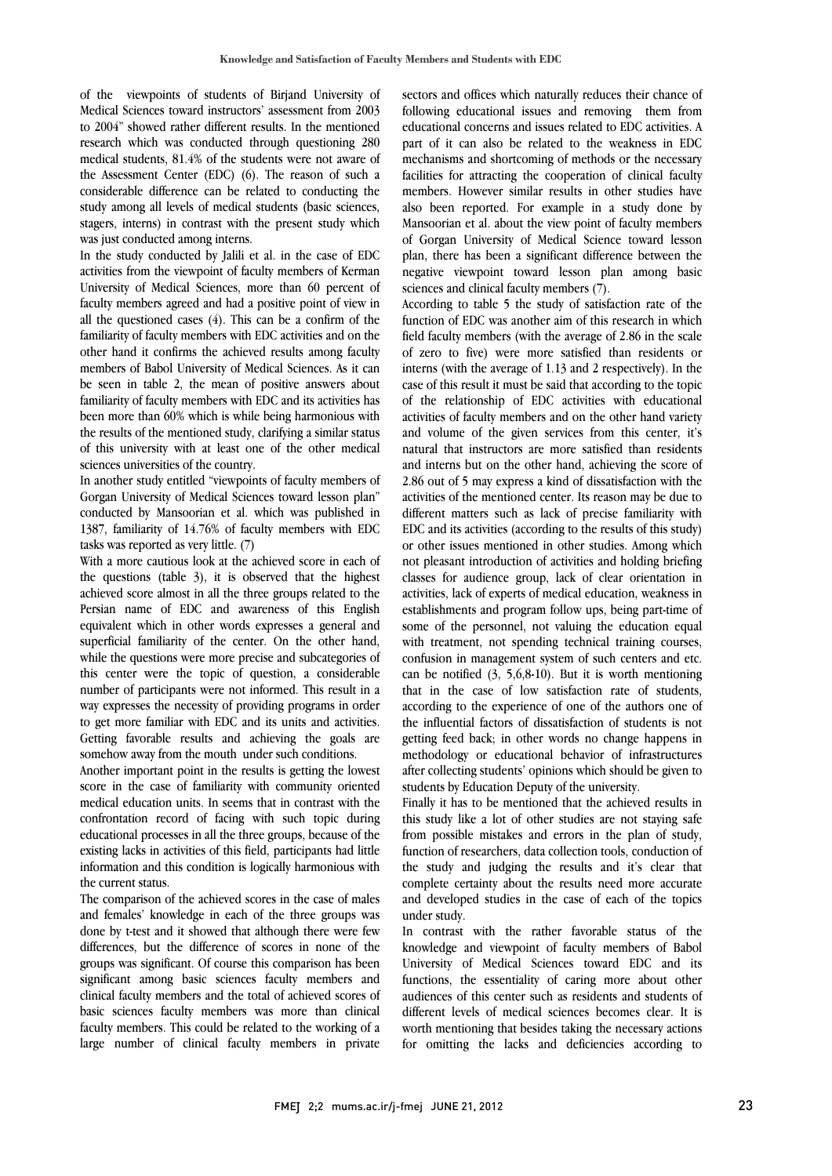of the viewpoints of students of Birjand University of Medical Sciences toward instructors' assessment from 2003 to 2004" showed rather different results. In the mentioned research which was conducted infough questioning 280<br>medical students, 81.4% of the students were not aware of the Assessment Center (EDC) (6). The reason of such a considerable difference can be related to conducting the study among all levels of medical students (basic sciences, stagers, interns) in contrast with the present study which research which was conducted through questioning 280 was just conducted among interns.

 In the study conducted by Jalili et al. in the case of EDC activities from the viewpoint of faculty members of Kerman University of Medical Sciences, more than 60 percent of actury includes agreed and had a positive point of view in<br>all the questioned cases (4). This can be a confirm of the familiarity of faculty members with EDC activities and on the other hand it confirms the achieved results among faculty members of Babol University of Medical Sciences. As it can familiarity of faculty members with EDC and its activities has  $\frac{1}{2}$  been more than 60% which is while being harmonious with the results of the mentioned study, clarifying a similar status of this university with at least one of the other medical faculty members agreed and had a positive point of view in be seen in table 2, the mean of positive answers about sciences universities of the country.

In another study entitled "viewpoints of faculty members of Gorgan University of Medical Sciences toward lesson plan" conducted by Mansoorian et al. which was published in 1387, familiarity of 14.76% of faculty members with EDC tasks was reported as very little. (7)

With a more cautious look at the achieved score in each of the questions (table 3), it is observed that the highest achieved score almost in all the three groups related to the equivalent which in other words expresses a general and superficial familiarity of the center. On the other hand, while the questions were more precise and subcategories of this center were the topic of question, a considerable way expresses the necessity of providing programs in order to get more familiar with EDC and its units and activities. Getting favorable results and achieving the goals are Persian name of EDC and awareness of this English number of participants were not informed. This result in a somehow away from the mouth under such conditions.

somehow away from the mouth under such conditions.<br>Another important point in the results is getting the lowest score in the case of familiarity with community oriented medical education units. In seems that in contrast with the confrontation record of facing with such topic during educational processes in all the three groups, because of the information and this condition is logically harmonious with existing lacks in activities of this field, participants had little the current status.

 The comparison of the achieved scores in the case of males and females' knowledge in each of the three groups was differences, but the difference of scores in none of the groups was significant. Of course this comparison has been significant among basic sciences faculty members and basic sciences faculty members was more than clinical faculty members. This could be related to the working of a large number of clinical faculty members in privatedone by t-test and it showed that although there were few clinical faculty members and the total of achieved scores of

 sectors and offices which naturally reduces their chance of following educational issues and removing them from educational concerns and issues related to EDC activities. A part of it can also be related to the weakness in EDC facilities for attracting the cooperation of clinical faculty members. However similar results in other studies have also been reported. For example in a study done by mansoorian et al. about the view point of faculty members<br>of Gorgan University of Medical Science toward lesson plan, there has been a significant difference between the negative viewpoint toward lesson plan among basic mechanisms and shortcoming of methods or the necessary Mansoorian et al. about the view point of faculty members sciences and clinical faculty members (7).

According to table 5 the study of satisfaction rate of the<br>function of EDC was another aim of this research in which field faculty members (with the average of 2.86 in the scale of zero to five) were more satisfied than residents or interns (with the average of 1.13 and 2 respectively). In the of the relationship of EDC activities with educational activities of faculty members and on the other hand variety and volume of the given services from this center, it's natural that instructors are more satisfied than residents 2.86 out of 5 may express a kind of dissatisfaction with the activities of the mentioned center. Its reason may be due to different matters such as lack of precise familiarity with EDC and its activities (according to the results of this study) not pleasant introduction of activities and holding briefing classes for audience group, lack of clear orientation in activities, lack of experts of medical education, weakness in establishments and program follow ups, being part-time of with treatment, not spending technical training courses, confusion in management system of such centers and etc. can be notified (3, 5,6,8-10). But it is worth mentioning according to the experience of one of the authors one of the influential factors of dissatisfaction of students is not getting feed back; in other words no change happens in methodology or educational behavior of infrastructures after collecting students' opinions which should be given to<br>students by Education Deputy of the university According to table 5 the study of satisfaction rate of the case of this result it must be said that according to the topic and interns but on the other hand, achieving the score of or other issues mentioned in other studies. Among which some of the personnel, not valuing the education equal that in the case of low satisfaction rate of students, students by Education Deputy of the university.

 Finally it has to be mentioned that the achieved results in this study like a lot of other studies are not staying safe from possible mistakes and errors in the plan of study, the study and judging the results and it's clear that complete certainty about the results need more accurate and developed studies in the case of each of the topics function of researchers, data collection tools, conduction of under study.

under study.<br>In contrast with the rather favorable status of the knowledge and viewpoint of faculty members of Babol University of Medical Sciences toward EDC and its functions, the essentiality of caring more about other audiences of this center such as residents and students of worth mentioning that besides taking the necessary actions for omitting the lacks and deficiencies according to different levels of medical sciences becomes clear. It is